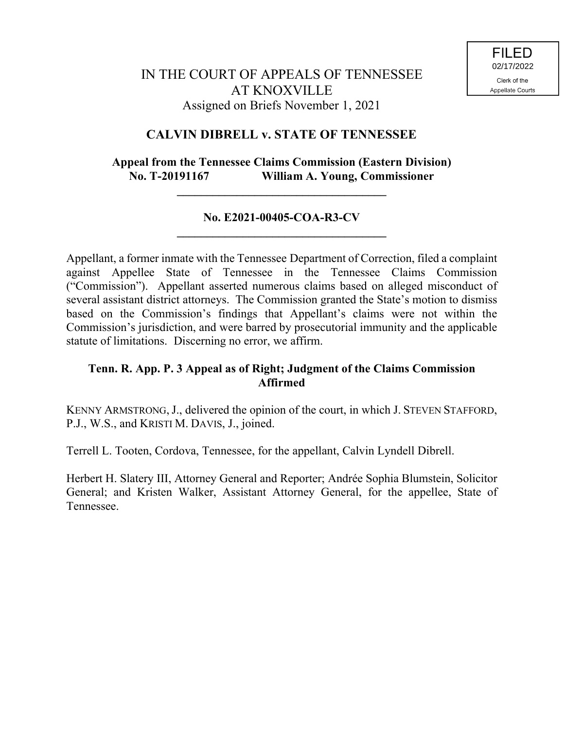# **CALVIN DIBRELL v. STATE OF TENNESSEE**

# **Appeal from the Tennessee Claims Commission (Eastern Division) No. T-20191167 William A. Young, Commissioner**

**\_\_\_\_\_\_\_\_\_\_\_\_\_\_\_\_\_\_\_\_\_\_\_\_\_\_\_\_\_\_\_\_\_\_\_**

## **No. E2021-00405-COA-R3-CV \_\_\_\_\_\_\_\_\_\_\_\_\_\_\_\_\_\_\_\_\_\_\_\_\_\_\_\_\_\_\_\_\_\_\_**

Appellant, a former inmate with the Tennessee Department of Correction, filed a complaint against Appellee State of Tennessee in the Tennessee Claims Commission ("Commission"). Appellant asserted numerous claims based on alleged misconduct of several assistant district attorneys. The Commission granted the State's motion to dismiss based on the Commission's findings that Appellant's claims were not within the Commission's jurisdiction, and were barred by prosecutorial immunity and the applicable statute of limitations. Discerning no error, we affirm.

# **Tenn. R. App. P. 3 Appeal as of Right; Judgment of the Claims Commission Affirmed**

KENNY ARMSTRONG,J., delivered the opinion of the court, in which J. STEVEN STAFFORD, P.J., W.S., and KRISTI M. DAVIS, J., joined.

Terrell L. Tooten, Cordova, Tennessee, for the appellant, Calvin Lyndell Dibrell.

Herbert H. Slatery III, Attorney General and Reporter; Andrée Sophia Blumstein, Solicitor General; and Kristen Walker, Assistant Attorney General, for the appellee, State of Tennessee.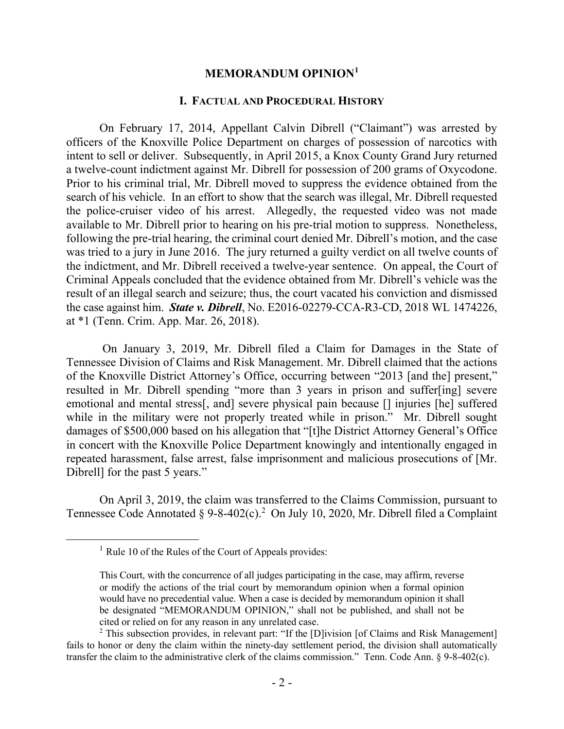#### **MEMORANDUM OPINION<sup>1</sup>**

#### **I. FACTUAL AND PROCEDURAL HISTORY**

On February 17, 2014, Appellant Calvin Dibrell ("Claimant") was arrested by officers of the Knoxville Police Department on charges of possession of narcotics with intent to sell or deliver. Subsequently, in April 2015, a Knox County Grand Jury returned a twelve-count indictment against Mr. Dibrell for possession of 200 grams of Oxycodone. Prior to his criminal trial, Mr. Dibrell moved to suppress the evidence obtained from the search of his vehicle. In an effort to show that the search was illegal, Mr. Dibrell requested the police-cruiser video of his arrest. Allegedly, the requested video was not made available to Mr. Dibrell prior to hearing on his pre-trial motion to suppress. Nonetheless, following the pre-trial hearing, the criminal court denied Mr. Dibrell's motion, and the case was tried to a jury in June 2016. The jury returned a guilty verdict on all twelve counts of the indictment, and Mr. Dibrell received a twelve-year sentence. On appeal, the Court of Criminal Appeals concluded that the evidence obtained from Mr. Dibrell's vehicle was the result of an illegal search and seizure; thus, the court vacated his conviction and dismissed the case against him. *State v. Dibrell*, No. E2016-02279-CCA-R3-CD, 2018 WL 1474226, at \*1 (Tenn. Crim. App. Mar. 26, 2018).

On January 3, 2019, Mr. Dibrell filed a Claim for Damages in the State of Tennessee Division of Claims and Risk Management. Mr. Dibrell claimed that the actions of the Knoxville District Attorney's Office, occurring between "2013 [and the] present," resulted in Mr. Dibrell spending "more than 3 years in prison and suffer[ing] severe emotional and mental stress[, and] severe physical pain because [] injuries [he] suffered while in the military were not properly treated while in prison." Mr. Dibrell sought damages of \$500,000 based on his allegation that "[t]he District Attorney General's Office in concert with the Knoxville Police Department knowingly and intentionally engaged in repeated harassment, false arrest, false imprisonment and malicious prosecutions of [Mr. Dibrell] for the past 5 years."

On April 3, 2019, the claim was transferred to the Claims Commission, pursuant to Tennessee Code Annotated § 9-8-402(c).<sup>2</sup> On July 10, 2020, Mr. Dibrell filed a Complaint

 $\overline{a}$ 

 $<sup>1</sup>$  Rule 10 of the Rules of the Court of Appeals provides:</sup>

This Court, with the concurrence of all judges participating in the case, may affirm, reverse or modify the actions of the trial court by memorandum opinion when a formal opinion would have no precedential value. When a case is decided by memorandum opinion it shall be designated "MEMORANDUM OPINION," shall not be published, and shall not be cited or relied on for any reason in any unrelated case.

 $2$  This subsection provides, in relevant part: "If the [D]ivision [of Claims and Risk Management] fails to honor or deny the claim within the ninety-day settlement period, the division shall automatically transfer the claim to the administrative clerk of the claims commission." Tenn. Code Ann. § 9-8-402(c).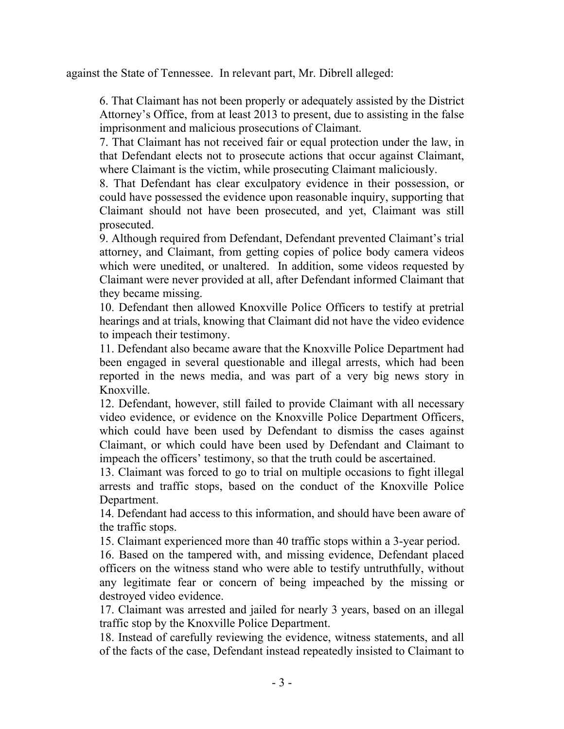against the State of Tennessee. In relevant part, Mr. Dibrell alleged:

6. That Claimant has not been properly or adequately assisted by the District Attorney's Office, from at least 2013 to present, due to assisting in the false imprisonment and malicious prosecutions of Claimant.

7. That Claimant has not received fair or equal protection under the law, in that Defendant elects not to prosecute actions that occur against Claimant, where Claimant is the victim, while prosecuting Claimant maliciously.

8. That Defendant has clear exculpatory evidence in their possession, or could have possessed the evidence upon reasonable inquiry, supporting that Claimant should not have been prosecuted, and yet, Claimant was still prosecuted.

9. Although required from Defendant, Defendant prevented Claimant's trial attorney, and Claimant, from getting copies of police body camera videos which were unedited, or unaltered. In addition, some videos requested by Claimant were never provided at all, after Defendant informed Claimant that they became missing.

10. Defendant then allowed Knoxville Police Officers to testify at pretrial hearings and at trials, knowing that Claimant did not have the video evidence to impeach their testimony.

11. Defendant also became aware that the Knoxville Police Department had been engaged in several questionable and illegal arrests, which had been reported in the news media, and was part of a very big news story in Knoxville.

12. Defendant, however, still failed to provide Claimant with all necessary video evidence, or evidence on the Knoxville Police Department Officers, which could have been used by Defendant to dismiss the cases against Claimant, or which could have been used by Defendant and Claimant to impeach the officers' testimony, so that the truth could be ascertained.

13. Claimant was forced to go to trial on multiple occasions to fight illegal arrests and traffic stops, based on the conduct of the Knoxville Police Department.

14. Defendant had access to this information, and should have been aware of the traffic stops.

15. Claimant experienced more than 40 traffic stops within a 3-year period.

16. Based on the tampered with, and missing evidence, Defendant placed officers on the witness stand who were able to testify untruthfully, without any legitimate fear or concern of being impeached by the missing or destroyed video evidence.

17. Claimant was arrested and jailed for nearly 3 years, based on an illegal traffic stop by the Knoxville Police Department.

18. Instead of carefully reviewing the evidence, witness statements, and all of the facts of the case, Defendant instead repeatedly insisted to Claimant to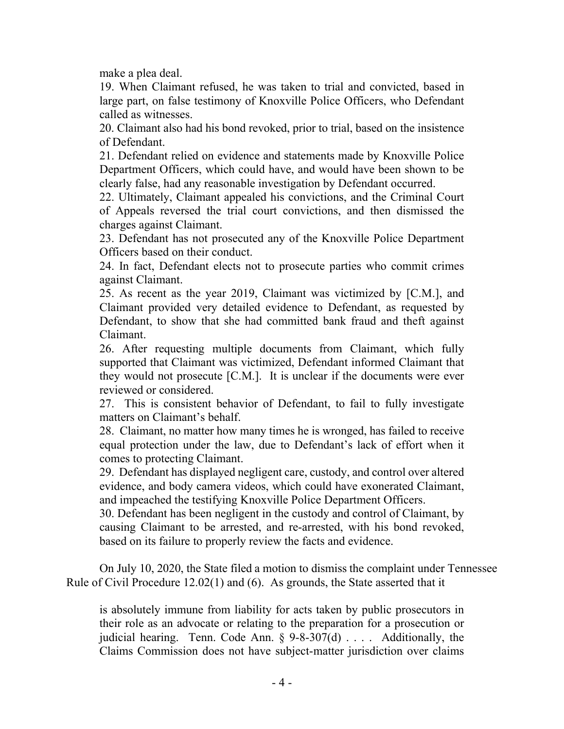make a plea deal.

19. When Claimant refused, he was taken to trial and convicted, based in large part, on false testimony of Knoxville Police Officers, who Defendant called as witnesses.

20. Claimant also had his bond revoked, prior to trial, based on the insistence of Defendant.

21. Defendant relied on evidence and statements made by Knoxville Police Department Officers, which could have, and would have been shown to be clearly false, had any reasonable investigation by Defendant occurred.

22. Ultimately, Claimant appealed his convictions, and the Criminal Court of Appeals reversed the trial court convictions, and then dismissed the charges against Claimant.

23. Defendant has not prosecuted any of the Knoxville Police Department Officers based on their conduct.

24. In fact, Defendant elects not to prosecute parties who commit crimes against Claimant.

25. As recent as the year 2019, Claimant was victimized by [C.M.], and Claimant provided very detailed evidence to Defendant, as requested by Defendant, to show that she had committed bank fraud and theft against Claimant.

26. After requesting multiple documents from Claimant, which fully supported that Claimant was victimized, Defendant informed Claimant that they would not prosecute [C.M.]. It is unclear if the documents were ever reviewed or considered.

27. This is consistent behavior of Defendant, to fail to fully investigate matters on Claimant's behalf.

28. Claimant, no matter how many times he is wronged, has failed to receive equal protection under the law, due to Defendant's lack of effort when it comes to protecting Claimant.

29. Defendant has displayed negligent care, custody, and control over altered evidence, and body camera videos, which could have exonerated Claimant, and impeached the testifying Knoxville Police Department Officers.

30. Defendant has been negligent in the custody and control of Claimant, by causing Claimant to be arrested, and re-arrested, with his bond revoked, based on its failure to properly review the facts and evidence.

On July 10, 2020, the State filed a motion to dismiss the complaint under Tennessee Rule of Civil Procedure 12.02(1) and (6). As grounds, the State asserted that it

is absolutely immune from liability for acts taken by public prosecutors in their role as an advocate or relating to the preparation for a prosecution or judicial hearing. Tenn. Code Ann.  $\S$  9-8-307(d) . . . . Additionally, the Claims Commission does not have subject-matter jurisdiction over claims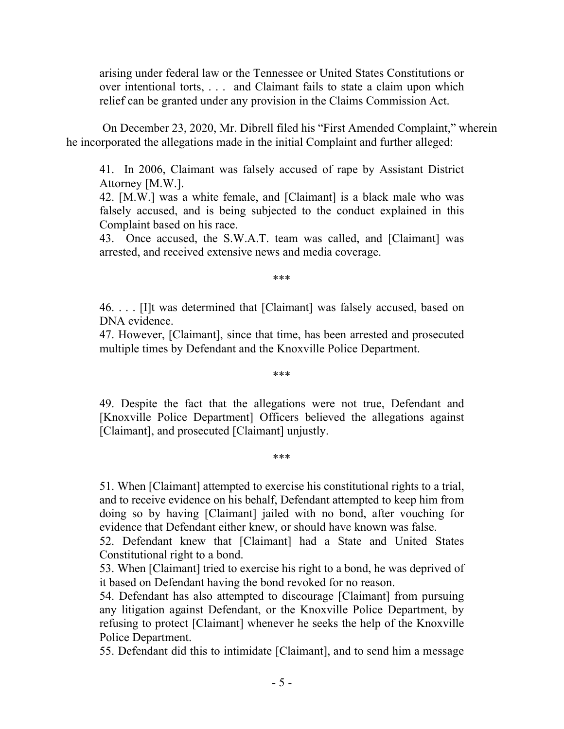arising under federal law or the Tennessee or United States Constitutions or over intentional torts, . . . and Claimant fails to state a claim upon which relief can be granted under any provision in the Claims Commission Act.

On December 23, 2020, Mr. Dibrell filed his "First Amended Complaint," wherein he incorporated the allegations made in the initial Complaint and further alleged:

41. In 2006, Claimant was falsely accused of rape by Assistant District Attorney [M.W.].

42. [M.W.] was a white female, and [Claimant] is a black male who was falsely accused, and is being subjected to the conduct explained in this Complaint based on his race.

43. Once accused, the S.W.A.T. team was called, and [Claimant] was arrested, and received extensive news and media coverage.

\*\*\*

46. . . . [I]t was determined that [Claimant] was falsely accused, based on DNA evidence.

47. However, [Claimant], since that time, has been arrested and prosecuted multiple times by Defendant and the Knoxville Police Department.

\*\*\*

49. Despite the fact that the allegations were not true, Defendant and [Knoxville Police Department] Officers believed the allegations against [Claimant], and prosecuted [Claimant] unjustly.

\*\*\*

51. When [Claimant] attempted to exercise his constitutional rights to a trial, and to receive evidence on his behalf, Defendant attempted to keep him from doing so by having [Claimant] jailed with no bond, after vouching for evidence that Defendant either knew, or should have known was false.

52. Defendant knew that [Claimant] had a State and United States Constitutional right to a bond.

53. When [Claimant] tried to exercise his right to a bond, he was deprived of it based on Defendant having the bond revoked for no reason.

54. Defendant has also attempted to discourage [Claimant] from pursuing any litigation against Defendant, or the Knoxville Police Department, by refusing to protect [Claimant] whenever he seeks the help of the Knoxville Police Department.

55. Defendant did this to intimidate [Claimant], and to send him a message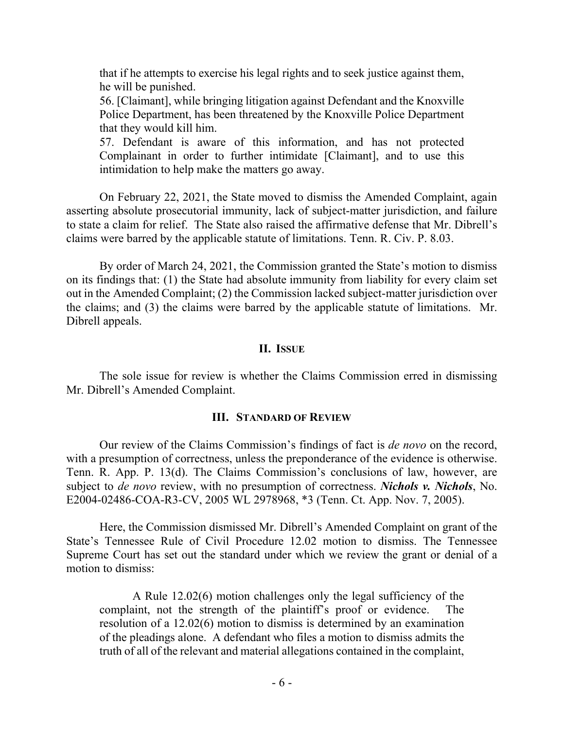that if he attempts to exercise his legal rights and to seek justice against them, he will be punished.

56. [Claimant], while bringing litigation against Defendant and the Knoxville Police Department, has been threatened by the Knoxville Police Department that they would kill him.

57. Defendant is aware of this information, and has not protected Complainant in order to further intimidate [Claimant], and to use this intimidation to help make the matters go away.

On February 22, 2021, the State moved to dismiss the Amended Complaint, again asserting absolute prosecutorial immunity, lack of subject-matter jurisdiction, and failure to state a claim for relief. The State also raised the affirmative defense that Mr. Dibrell's claims were barred by the applicable statute of limitations. Tenn. R. Civ. P. 8.03.

By order of March 24, 2021, the Commission granted the State's motion to dismiss on its findings that: (1) the State had absolute immunity from liability for every claim set out in the Amended Complaint; (2) the Commission lacked subject-matter jurisdiction over the claims; and (3) the claims were barred by the applicable statute of limitations. Mr. Dibrell appeals.

### **II. ISSUE**

The sole issue for review is whether the Claims Commission erred in dismissing Mr. Dibrell's Amended Complaint.

### **III. STANDARD OF REVIEW**

Our review of the Claims Commission's findings of fact is *de novo* on the record, with a presumption of correctness, unless the preponderance of the evidence is otherwise. Tenn. R. App. P. 13(d). The Claims Commission's conclusions of law, however, are subject to *de novo* review, with no presumption of correctness. *Nichols v. Nichols*, No. E2004-02486-COA-R3-CV, 2005 WL 2978968, \*3 (Tenn. Ct. App. Nov. 7, 2005).

Here, the Commission dismissed Mr. Dibrell's Amended Complaint on grant of the State's Tennessee Rule of Civil Procedure 12.02 motion to dismiss. The Tennessee Supreme Court has set out the standard under which we review the grant or denial of a motion to dismiss:

A Rule 12.02(6) motion challenges only the legal sufficiency of the complaint, not the strength of the plaintiff's proof or evidence. The resolution of a 12.02(6) motion to dismiss is determined by an examination of the pleadings alone. A defendant who files a motion to dismiss admits the truth of all of the relevant and material allegations contained in the complaint,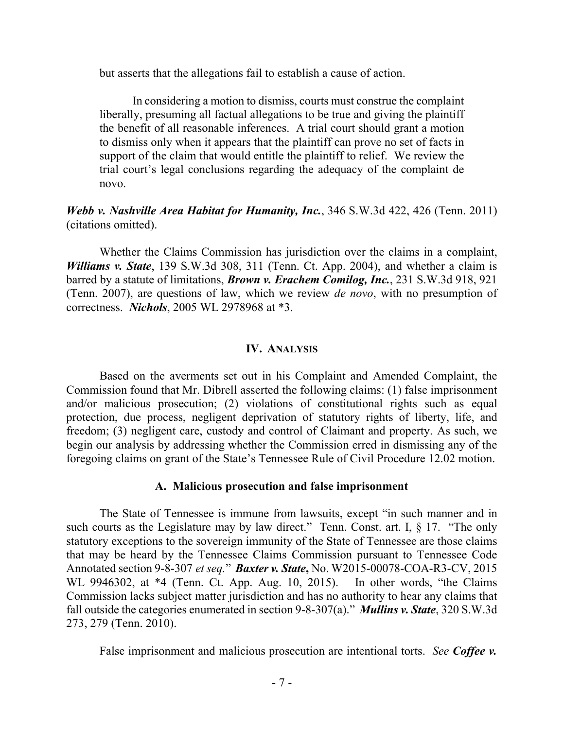but asserts that the allegations fail to establish a cause of action.

In considering a motion to dismiss, courts must construe the complaint liberally, presuming all factual allegations to be true and giving the plaintiff the benefit of all reasonable inferences. A trial court should grant a motion to dismiss only when it appears that the plaintiff can prove no set of facts in support of the claim that would entitle the plaintiff to relief. We review the trial court's legal conclusions regarding the adequacy of the complaint de novo.

### *Webb v. Nashville Area Habitat for Humanity, Inc.*, 346 S.W.3d 422, 426 (Tenn. 2011) (citations omitted).

Whether the Claims Commission has jurisdiction over the claims in a complaint, *Williams v. State*, 139 S.W.3d 308, 311 (Tenn. Ct. App. 2004), and whether a claim is barred by a statute of limitations, *Brown v. Erachem Comilog, Inc.*, 231 S.W.3d 918, 921 (Tenn. 2007), are questions of law, which we review *de novo*, with no presumption of correctness. *Nichols*, 2005 WL 2978968 at \*3.

#### **IV. ANALYSIS**

Based on the averments set out in his Complaint and Amended Complaint, the Commission found that Mr. Dibrell asserted the following claims: (1) false imprisonment and/or malicious prosecution; (2) violations of constitutional rights such as equal protection, due process, negligent deprivation of statutory rights of liberty, life, and freedom; (3) negligent care, custody and control of Claimant and property. As such, we begin our analysis by addressing whether the Commission erred in dismissing any of the foregoing claims on grant of the State's Tennessee Rule of Civil Procedure 12.02 motion.

#### **A. Malicious prosecution and false imprisonment**

The State of Tennessee is immune from lawsuits, except "in such manner and in such courts as the Legislature may by law direct." Tenn. Const. art. I, § 17. "The only statutory exceptions to the sovereign immunity of the State of Tennessee are those claims that may be heard by the Tennessee Claims Commission pursuant to Tennessee Code Annotated section 9-8-307 *et seq.*" *Baxter v. State***,** No. W2015-00078-COA-R3-CV, 2015 WL 9946302, at \*4 (Tenn. Ct. App. Aug. 10, 2015). In other words, "the Claims Commission lacks subject matter jurisdiction and has no authority to hear any claims that fall outside the categories enumerated in section 9-8-307(a)." *Mullins v. State*, 320 S.W.3d 273, 279 (Tenn. 2010).

False imprisonment and malicious prosecution are intentional torts. *See Coffee v.*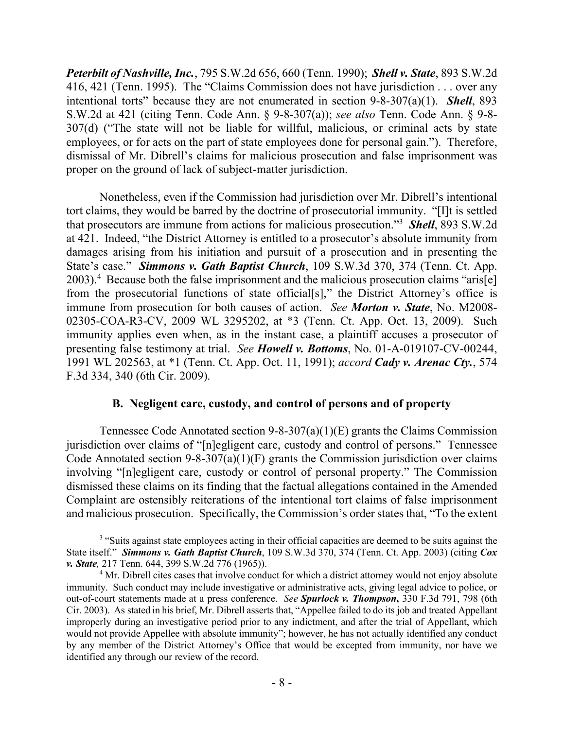*Peterbilt of Nashville, Inc.*, 795 S.W.2d 656, 660 (Tenn. 1990); *Shell v. State*, 893 S.W.2d 416, 421 (Tenn. 1995). The "Claims Commission does not have jurisdiction . . . over any intentional torts" because they are not enumerated in section 9-8-307(a)(1). *Shell*, 893 S.W.2d at 421 (citing Tenn. Code Ann. § 9-8-307(a)); *see also* Tenn. Code Ann. § 9-8- 307(d) ("The state will not be liable for willful, malicious, or criminal acts by state employees, or for acts on the part of state employees done for personal gain."). Therefore, dismissal of Mr. Dibrell's claims for malicious prosecution and false imprisonment was proper on the ground of lack of subject-matter jurisdiction.

Nonetheless, even if the Commission had jurisdiction over Mr. Dibrell's intentional tort claims, they would be barred by the doctrine of prosecutorial immunity. "[I]t is settled that prosecutors are immune from actions for malicious prosecution."<sup>3</sup> *Shell*, 893 S.W.2d at 421. Indeed, "the District Attorney is entitled to a prosecutor's absolute immunity from damages arising from his initiation and pursuit of a prosecution and in presenting the State's case." *Simmons v. Gath Baptist Church*, 109 S.W.3d 370, 374 (Tenn. Ct. App. 2003). 4 Because both the false imprisonment and the malicious prosecution claims "aris[e] from the prosecutorial functions of state official[s]," the District Attorney's office is immune from prosecution for both causes of action. *See Morton v. State*, No. M2008- 02305-COA-R3-CV, 2009 WL 3295202, at \*3 (Tenn. Ct. App. Oct. 13, 2009). Such immunity applies even when, as in the instant case, a plaintiff accuses a prosecutor of presenting false testimony at trial. *See Howell v. Bottoms*, No. 01-A-019107-CV-00244, 1991 WL 202563, at \*1 (Tenn. Ct. App. Oct. 11, 1991); *accord Cady v. Arenac Cty.*, 574 F.3d 334, 340 (6th Cir. 2009).

## **B. Negligent care, custody, and control of persons and of property**

Tennessee Code Annotated section 9-8-307(a)(1)(E) grants the Claims Commission jurisdiction over claims of "[n]egligent care, custody and control of persons." Tennessee Code Annotated section  $9-8-307(a)(1)(F)$  grants the Commission jurisdiction over claims involving "[n]egligent care, custody or control of personal property." The Commission dismissed these claims on its finding that the factual allegations contained in the Amended Complaint are ostensibly reiterations of the intentional tort claims of false imprisonment and malicious prosecution. Specifically, the Commission's order states that, "To the extent

<sup>&</sup>lt;sup>3</sup> "Suits against state employees acting in their official capacities are deemed to be suits against the State itself." *Simmons v. Gath Baptist Church*, 109 S.W.3d 370, 374 (Tenn. Ct. App. 2003) (citing *Cox v. State,* 217 Tenn. 644, 399 S.W.2d 776 (1965)).

<sup>&</sup>lt;sup>4</sup> Mr. Dibrell cites cases that involve conduct for which a district attorney would not enjoy absolute immunity. Such conduct may include investigative or administrative acts, giving legal advice to police, or out-of-court statements made at a press conference. *See Spurlock v. Thompson***,** 330 F.3d 791, 798 (6th Cir. 2003). As stated in his brief, Mr. Dibrell asserts that, "Appellee failed to do its job and treated Appellant improperly during an investigative period prior to any indictment, and after the trial of Appellant, which would not provide Appellee with absolute immunity"; however, he has not actually identified any conduct by any member of the District Attorney's Office that would be excepted from immunity, nor have we identified any through our review of the record.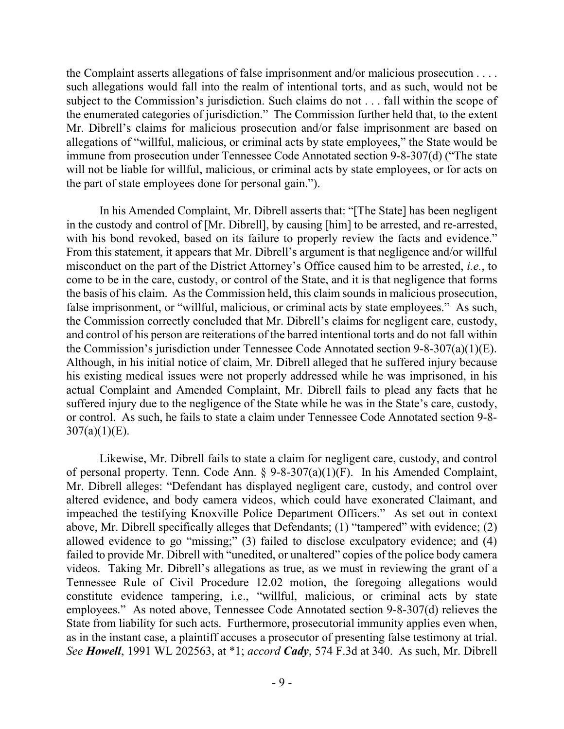the Complaint asserts allegations of false imprisonment and/or malicious prosecution . . . . such allegations would fall into the realm of intentional torts, and as such, would not be subject to the Commission's jurisdiction. Such claims do not . . . fall within the scope of the enumerated categories of jurisdiction." The Commission further held that, to the extent Mr. Dibrell's claims for malicious prosecution and/or false imprisonment are based on allegations of "willful, malicious, or criminal acts by state employees," the State would be immune from prosecution under Tennessee Code Annotated section 9-8-307(d) ("The state will not be liable for willful, malicious, or criminal acts by state employees, or for acts on the part of state employees done for personal gain.").

In his Amended Complaint, Mr. Dibrell asserts that: "[The State] has been negligent in the custody and control of [Mr. Dibrell], by causing [him] to be arrested, and re-arrested, with his bond revoked, based on its failure to properly review the facts and evidence." From this statement, it appears that Mr. Dibrell's argument is that negligence and/or willful misconduct on the part of the District Attorney's Office caused him to be arrested, *i.e.*, to come to be in the care, custody, or control of the State, and it is that negligence that forms the basis of his claim. As the Commission held, this claim sounds in malicious prosecution, false imprisonment, or "willful, malicious, or criminal acts by state employees." As such, the Commission correctly concluded that Mr. Dibrell's claims for negligent care, custody, and control of his person are reiterations of the barred intentional torts and do not fall within the Commission's jurisdiction under Tennessee Code Annotated section 9-8-307(a)(1)(E). Although, in his initial notice of claim, Mr. Dibrell alleged that he suffered injury because his existing medical issues were not properly addressed while he was imprisoned, in his actual Complaint and Amended Complaint, Mr. Dibrell fails to plead any facts that he suffered injury due to the negligence of the State while he was in the State's care, custody, or control. As such, he fails to state a claim under Tennessee Code Annotated section 9-8-  $307(a)(1)(E)$ .

Likewise, Mr. Dibrell fails to state a claim for negligent care, custody, and control of personal property. Tenn. Code Ann. § 9-8-307(a)(1)(F). In his Amended Complaint, Mr. Dibrell alleges: "Defendant has displayed negligent care, custody, and control over altered evidence, and body camera videos, which could have exonerated Claimant, and impeached the testifying Knoxville Police Department Officers." As set out in context above, Mr. Dibrell specifically alleges that Defendants; (1) "tampered" with evidence; (2) allowed evidence to go "missing;" (3) failed to disclose exculpatory evidence; and (4) failed to provide Mr. Dibrell with "unedited, or unaltered" copies of the police body camera videos. Taking Mr. Dibrell's allegations as true, as we must in reviewing the grant of a Tennessee Rule of Civil Procedure 12.02 motion, the foregoing allegations would constitute evidence tampering, i.e., "willful, malicious, or criminal acts by state employees." As noted above, Tennessee Code Annotated section 9-8-307(d) relieves the State from liability for such acts. Furthermore, prosecutorial immunity applies even when, as in the instant case, a plaintiff accuses a prosecutor of presenting false testimony at trial. *See Howell*, 1991 WL 202563, at \*1; *accord Cady*, 574 F.3d at 340. As such, Mr. Dibrell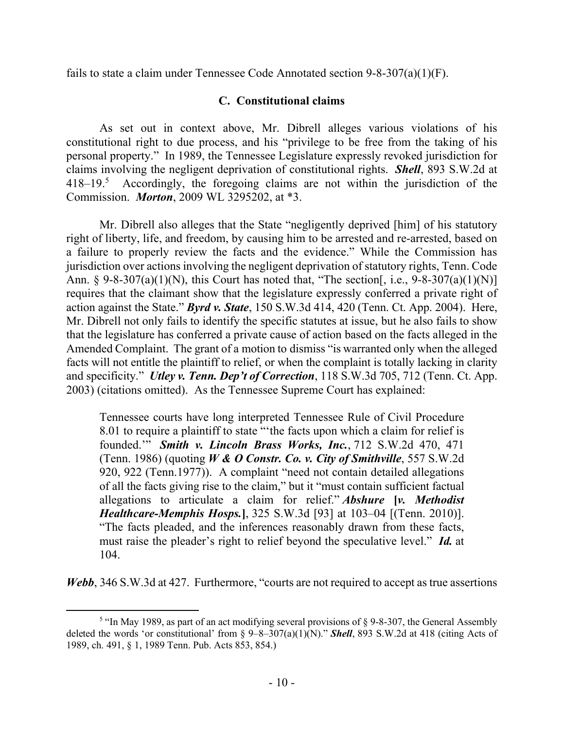fails to state a claim under Tennessee Code Annotated section 9-8-307(a)(1)(F).

## **C. Constitutional claims**

As set out in context above, Mr. Dibrell alleges various violations of his constitutional right to due process, and his "privilege to be free from the taking of his personal property." In 1989, the Tennessee Legislature expressly revoked jurisdiction for claims involving the negligent deprivation of constitutional rights. *Shell*, 893 S.W.2d at 418–19.<sup>5</sup> Accordingly, the foregoing claims are not within the jurisdiction of the Commission. *Morton*, 2009 WL 3295202, at \*3.

Mr. Dibrell also alleges that the State "negligently deprived [him] of his statutory right of liberty, life, and freedom, by causing him to be arrested and re-arrested, based on a failure to properly review the facts and the evidence." While the Commission has jurisdiction over actions involving the negligent deprivation of statutory rights, Tenn. Code Ann. § 9-8-307(a)(1)(N), this Court has noted that, "The section[, i.e.,  $9-8-307(a)(1)(N)$ ] requires that the claimant show that the legislature expressly conferred a private right of action against the State." *Byrd v. State*, 150 S.W.3d 414, 420 (Tenn. Ct. App. 2004). Here, Mr. Dibrell not only fails to identify the specific statutes at issue, but he also fails to show that the legislature has conferred a private cause of action based on the facts alleged in the Amended Complaint. The grant of a motion to dismiss "is warranted only when the alleged facts will not entitle the plaintiff to relief, or when the complaint is totally lacking in clarity and specificity." *Utley v. Tenn. Dep't of Correction*, 118 S.W.3d 705, 712 (Tenn. Ct. App. 2003) (citations omitted). As the Tennessee Supreme Court has explained:

Tennessee courts have long interpreted Tennessee Rule of Civil Procedure 8.01 to require a plaintiff to state "'the facts upon which a claim for relief is founded.'" *Smith v. Lincoln Brass Works, Inc.*, 712 S.W.2d 470, 471 (Tenn. 1986) (quoting *W & O Constr. Co. v. City of Smithville*, 557 S.W.2d 920, 922 (Tenn.1977)). A complaint "need not contain detailed allegations of all the facts giving rise to the claim," but it "must contain sufficient factual allegations to articulate a claim for relief." *Abshure* **[***v. Methodist Healthcare-Memphis Hosps.***]**, 325 S.W.3d [93] at 103–04 [(Tenn. 2010)]. "The facts pleaded, and the inferences reasonably drawn from these facts, must raise the pleader's right to relief beyond the speculative level." *Id.* at 104.

*Webb*, 346 S.W.3d at 427. Furthermore, "courts are not required to accept as true assertions

 $\overline{a}$ 

<sup>&</sup>lt;sup>5</sup> "In May 1989, as part of an act modifying several provisions of  $\S$  9-8-307, the General Assembly deleted the words 'or constitutional' from § 9–8–307(a)(1)(N)." *Shell*, 893 S.W.2d at 418 (citing Acts of 1989, ch. 491, § 1, 1989 Tenn. Pub. Acts 853, 854.)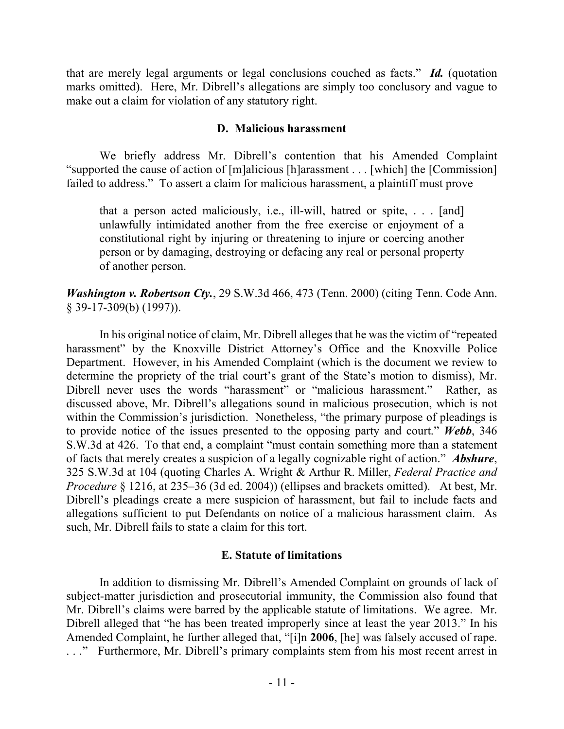that are merely legal arguments or legal conclusions couched as facts." *Id.* (quotation marks omitted). Here, Mr. Dibrell's allegations are simply too conclusory and vague to make out a claim for violation of any statutory right.

### **D. Malicious harassment**

We briefly address Mr. Dibrell's contention that his Amended Complaint "supported the cause of action of [m]alicious [h]arassment . . . [which] the [Commission] failed to address." To assert a claim for malicious harassment, a plaintiff must prove

that a person acted maliciously, i.e., ill-will, hatred or spite, . . . [and] unlawfully intimidated another from the free exercise or enjoyment of a constitutional right by injuring or threatening to injure or coercing another person or by damaging, destroying or defacing any real or personal property of another person.

*Washington v. Robertson Cty.*, 29 S.W.3d 466, 473 (Tenn. 2000) (citing Tenn. Code Ann. § 39-17-309(b) (1997)).

In his original notice of claim, Mr. Dibrell alleges that he was the victim of "repeated harassment" by the Knoxville District Attorney's Office and the Knoxville Police Department. However, in his Amended Complaint (which is the document we review to determine the propriety of the trial court's grant of the State's motion to dismiss), Mr. Dibrell never uses the words "harassment" or "malicious harassment." Rather, as discussed above, Mr. Dibrell's allegations sound in malicious prosecution, which is not within the Commission's jurisdiction. Nonetheless, "the primary purpose of pleadings is to provide notice of the issues presented to the opposing party and court." *Webb*, 346 S.W.3d at 426. To that end, a complaint "must contain something more than a statement of facts that merely creates a suspicion of a legally cognizable right of action." *Abshure*, 325 S.W.3d at 104 (quoting Charles A. Wright & Arthur R. Miller, *Federal Practice and Procedure* § 1216, at 235–36 (3d ed. 2004)) (ellipses and brackets omitted). At best, Mr. Dibrell's pleadings create a mere suspicion of harassment, but fail to include facts and allegations sufficient to put Defendants on notice of a malicious harassment claim. As such, Mr. Dibrell fails to state a claim for this tort.

## **E. Statute of limitations**

In addition to dismissing Mr. Dibrell's Amended Complaint on grounds of lack of subject-matter jurisdiction and prosecutorial immunity, the Commission also found that Mr. Dibrell's claims were barred by the applicable statute of limitations. We agree. Mr. Dibrell alleged that "he has been treated improperly since at least the year 2013." In his Amended Complaint, he further alleged that, "[i]n **2006**, [he] was falsely accused of rape. . . ." Furthermore, Mr. Dibrell's primary complaints stem from his most recent arrest in